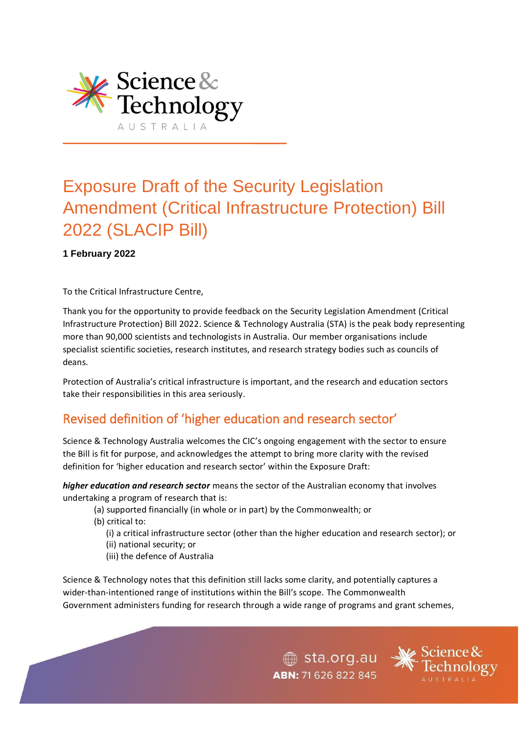

# Exposure Draft of the Security Legislation Amendment (Critical Infrastructure Protection) Bill 2022 (SLACIP Bill)

#### **1 February 2022**

To the Critical Infrastructure Centre,

Thank you for the opportunity to provide feedback on the Security Legislation Amendment (Critical Infrastructure Protection) Bill 2022. Science & Technology Australia (STA) is the peak body representing more than 90,000 scientists and technologists in Australia. Our member organisations include specialist scientific societies, research institutes, and research strategy bodies such as councils of deans.

Protection of Australia's critical infrastructure is important, and the research and education sectors take their responsibilities in this area seriously.

# Revised definition of 'higher education and research sector'

Science & Technology Australia welcomes the CIC's ongoing engagement with the sector to ensure the Bill is fit for purpose, and acknowledges the attempt to bring more clarity with the revised definition for 'higher education and research sector' within the Exposure Draft:

*higher education and research sector* means the sector of the Australian economy that involves undertaking a program of research that is:

- (a) supported financially (in whole or in part) by the Commonwealth; or
- (b) critical to:
	- (i) a critical infrastructure sector (other than the higher education and research sector); or
	- (ii) national security; or
	- (iii) the defence of Australia

Science & Technology notes that this definition still lacks some clarity, and potentially captures a wider-than-intentioned range of institutions within the Bill's scope. The Commonwealth Government administers funding for research through a wide range of programs and grant schemes,

> sta.org.au ABN: 71 626 822 845